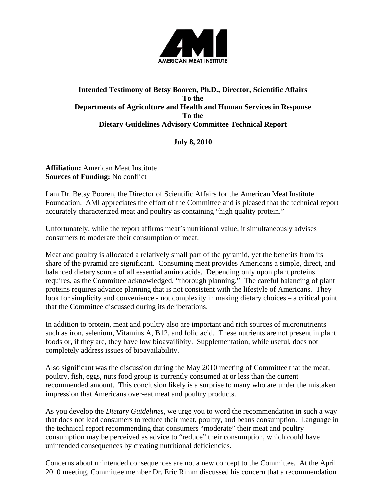

## **Intended Testimony of Betsy Booren, Ph.D., Director, Scientific Affairs To the Departments of Agriculture and Health and Human Services in Response To the Dietary Guidelines Advisory Committee Technical Report**

**July 8, 2010** 

**Affiliation:** American Meat Institute **Sources of Funding:** No conflict

I am Dr. Betsy Booren, the Director of Scientific Affairs for the American Meat Institute Foundation. AMI appreciates the effort of the Committee and is pleased that the technical report accurately characterized meat and poultry as containing "high quality protein."

Unfortunately, while the report affirms meat's nutritional value, it simultaneously advises consumers to moderate their consumption of meat.

Meat and poultry is allocated a relatively small part of the pyramid, yet the benefits from its share of the pyramid are significant. Consuming meat provides Americans a simple, direct, and balanced dietary source of all essential amino acids. Depending only upon plant proteins requires, as the Committee acknowledged, "thorough planning." The careful balancing of plant proteins requires advance planning that is not consistent with the lifestyle of Americans. They look for simplicity and convenience - not complexity in making dietary choices – a critical point that the Committee discussed during its deliberations.

In addition to protein, meat and poultry also are important and rich sources of micronutrients such as iron, selenium, Vitamins A, B12, and folic acid. These nutrients are not present in plant foods or, if they are, they have low bioavailibity. Supplementation, while useful, does not completely address issues of bioavailability.

Also significant was the discussion during the May 2010 meeting of Committee that the meat, poultry, fish, eggs, nuts food group is currently consumed at or less than the current recommended amount. This conclusion likely is a surprise to many who are under the mistaken impression that Americans over-eat meat and poultry products.

As you develop the *Dietary Guidelines,* we urge you to word the recommendation in such a way that does not lead consumers to reduce their meat, poultry, and beans consumption. Language in the technical report recommending that consumers "moderate" their meat and poultry consumption may be perceived as advice to "reduce" their consumption, which could have unintended consequences by creating nutritional deficiencies.

Concerns about unintended consequences are not a new concept to the Committee. At the April 2010 meeting, Committee member Dr. Eric Rimm discussed his concern that a recommendation